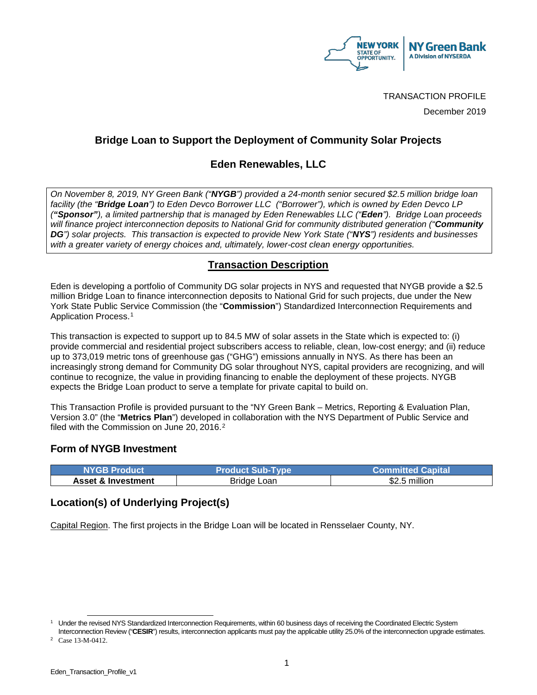

TRANSACTION PROFILE

December 2019

### **Bridge Loan to Support the Deployment of Community Solar Projects**

### **Eden Renewables, LLC**

*On November 8, 2019, NY Green Bank ("NYGB") provided a 24-month senior secured \$2.5 million bridge loan facility (the "Bridge Loan") to Eden Devco Borrower LLC ("Borrower"), which is owned by Eden Devco LP ("Sponsor"), a limited partnership that is managed by Eden Renewables LLC ("Eden"). Bridge Loan proceeds will finance project interconnection deposits to National Grid for community distributed generation ("Community DG") solar projects. This transaction is expected to provide New York State ("NYS") residents and businesses with a greater variety of energy choices and, ultimately, lower-cost clean energy opportunities.*

## **Transaction Description**

Eden is developing a portfolio of Community DG solar projects in NYS and requested that NYGB provide a \$2.5 million Bridge Loan to finance interconnection deposits to National Grid for such projects, due under the New York State Public Service Commission (the "**Commission**") Standardized Interconnection Requirements and Application Process.[1](#page-0-0)

This transaction is expected to support up to 84.5 MW of solar assets in the State which is expected to: (i) provide commercial and residential project subscribers access to reliable, clean, low-cost energy; and (ii) reduce up to 373,019 metric tons of greenhouse gas ("GHG") emissions annually in NYS. As there has been an increasingly strong demand for Community DG solar throughout NYS, capital providers are recognizing, and will continue to recognize, the value in providing financing to enable the deployment of these projects. NYGB expects the Bridge Loan product to serve a template for private capital to build on.

This Transaction Profile is provided pursuant to the "NY Green Bank – Metrics, Reporting & Evaluation Plan, Version 3.0" (the "**Metrics Plan**") developed in collaboration with the NYS Department of Public Service and filed with the Commission on June 20, 2016.<sup>2</sup>

#### **Form of NYGB Investment**

| 'NYGB Product.                | <b>Product Sub-Type</b> | <b>Committed Capital</b> |
|-------------------------------|-------------------------|--------------------------|
| <b>Asset &amp; Investment</b> | Bridge Loan             | .5 million<br>\$2.5      |

## **Location(s) of Underlying Project(s)**

Capital Region. The first projects in the Bridge Loan will be located in Rensselaer County, NY.

<span id="page-0-0"></span><sup>&</sup>lt;sup>1</sup> Under the revised NYS Standardized Interconnection Requirements, within 60 business days of receiving the Coordinated Electric System Interconnection Review ("**CESIR**") results, interconnection applicants must pay the applicable utility 25.0% of the interconnection upgrade estimates.

<span id="page-0-1"></span><sup>2</sup> Case 13-M-0412.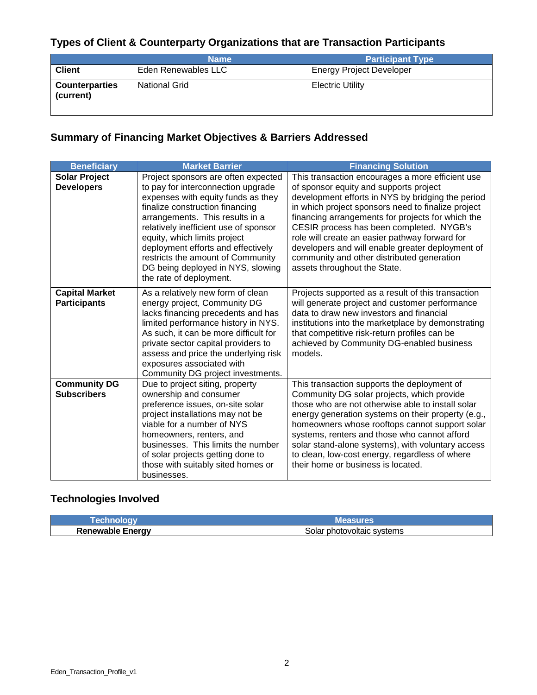# **Types of Client & Counterparty Organizations that are Transaction Participants**

|                                    | <b>Name</b>          | <b>Participant Type</b>         |
|------------------------------------|----------------------|---------------------------------|
| <b>Client</b>                      | Eden Renewables LLC  | <b>Energy Project Developer</b> |
| <b>Counterparties</b><br>(current) | <b>National Grid</b> | <b>Electric Utility</b>         |

# **Summary of Financing Market Objectives & Barriers Addressed**

| <b>Beneficiary</b>                           | <b>Market Barrier</b>                                                                                                                                                                                                                                                                                                                                                                                     | <b>Financing Solution</b>                                                                                                                                                                                                                                                                                                                                                                                                                                                                  |
|----------------------------------------------|-----------------------------------------------------------------------------------------------------------------------------------------------------------------------------------------------------------------------------------------------------------------------------------------------------------------------------------------------------------------------------------------------------------|--------------------------------------------------------------------------------------------------------------------------------------------------------------------------------------------------------------------------------------------------------------------------------------------------------------------------------------------------------------------------------------------------------------------------------------------------------------------------------------------|
| <b>Solar Project</b><br><b>Developers</b>    | Project sponsors are often expected<br>to pay for interconnection upgrade<br>expenses with equity funds as they<br>finalize construction financing<br>arrangements. This results in a<br>relatively inefficient use of sponsor<br>equity, which limits project<br>deployment efforts and effectively<br>restricts the amount of Community<br>DG being deployed in NYS, slowing<br>the rate of deployment. | This transaction encourages a more efficient use<br>of sponsor equity and supports project<br>development efforts in NYS by bridging the period<br>in which project sponsors need to finalize project<br>financing arrangements for projects for which the<br>CESIR process has been completed. NYGB's<br>role will create an easier pathway forward for<br>developers and will enable greater deployment of<br>community and other distributed generation<br>assets throughout the State. |
| <b>Capital Market</b><br><b>Participants</b> | As a relatively new form of clean<br>energy project, Community DG<br>lacks financing precedents and has<br>limited performance history in NYS.<br>As such, it can be more difficult for<br>private sector capital providers to<br>assess and price the underlying risk<br>exposures associated with<br>Community DG project investments.                                                                  | Projects supported as a result of this transaction<br>will generate project and customer performance<br>data to draw new investors and financial<br>institutions into the marketplace by demonstrating<br>that competitive risk-return profiles can be<br>achieved by Community DG-enabled business<br>models.                                                                                                                                                                             |
| <b>Community DG</b><br><b>Subscribers</b>    | Due to project siting, property<br>ownership and consumer<br>preference issues, on-site solar<br>project installations may not be<br>viable for a number of NYS<br>homeowners, renters, and<br>businesses. This limits the number<br>of solar projects getting done to<br>those with suitably sited homes or<br>businesses.                                                                               | This transaction supports the deployment of<br>Community DG solar projects, which provide<br>those who are not otherwise able to install solar<br>energy generation systems on their property (e.g.,<br>homeowners whose rooftops cannot support solar<br>systems, renters and those who cannot afford<br>solar stand-alone systems), with voluntary access<br>to clean, low-cost energy, regardless of where<br>their home or business is located.                                        |

### **Technologies Involved**

|                                | <b>Measures</b>            |  |
|--------------------------------|----------------------------|--|
| <b>Renewable Energy</b><br>. ت | Solar photovoltaic systems |  |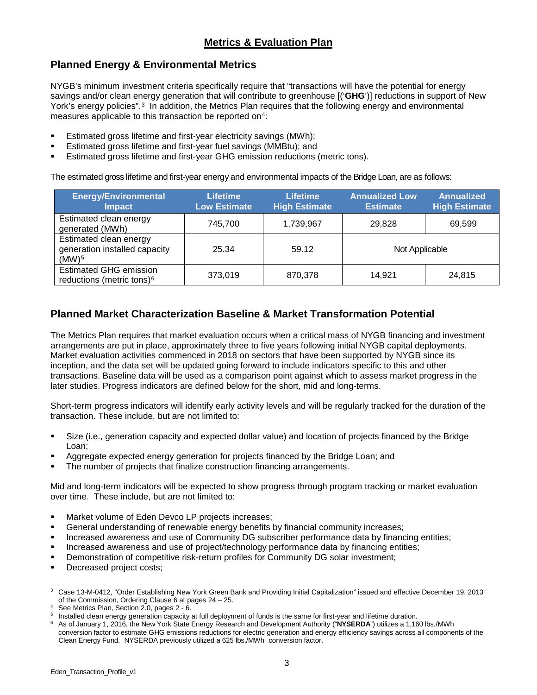# **Planned Energy & Environmental Metrics**

NYGB's minimum investment criteria specifically require that "transactions will have the potential for energy savings and/or clean energy generation that will contribute to greenhouse [('**GHG**')] reductions in support of New York's energy policies".<sup>[3](#page-2-0)</sup> In addition, the Metrics Plan requires that the following energy and environmental measures applicable to this transaction be reported on<sup>[4](#page-2-1)</sup>:

- **Estimated gross lifetime and first-year electricity savings (MWh):**
- Estimated gross lifetime and first-year fuel savings (MMBtu); and
- Estimated gross lifetime and first-year GHG emission reductions (metric tons).

The estimated gross lifetime and first-year energy and environmental impacts of the Bridge Loan, are as follows:

| <b>Energy/Environmental</b><br><b>Impact</b>                                        | <b>Lifetime</b><br><b>Low Estimate</b> | <b>Lifetime</b><br><b>High Estimate</b> | <b>Annualized Low</b><br><b>Estimate</b> | Annualized<br><b>High Estimate</b> |
|-------------------------------------------------------------------------------------|----------------------------------------|-----------------------------------------|------------------------------------------|------------------------------------|
| Estimated clean energy<br>generated (MWh)                                           | 745.700                                | 1,739,967                               | 29.828                                   | 69.599                             |
| <b>Estimated clean energy</b><br>generation installed capacity<br>(MW) <sup>5</sup> | 25.34                                  | 59.12                                   | Not Applicable                           |                                    |
| <b>Estimated GHG emission</b><br>reductions (metric tons) <sup>6</sup>              | 373,019                                | 870,378                                 | 14.921                                   | 24,815                             |

## **Planned Market Characterization Baseline & Market Transformation Potential**

The Metrics Plan requires that market evaluation occurs when a critical mass of NYGB financing and investment arrangements are put in place, approximately three to five years following initial NYGB capital deployments. Market evaluation activities commenced in 2018 on sectors that have been supported by NYGB since its inception, and the data set will be updated going forward to include indicators specific to this and other transactions. Baseline data will be used as a comparison point against which to assess market progress in the later studies. Progress indicators are defined below for the short, mid and long-terms.

Short-term progress indicators will identify early activity levels and will be regularly tracked for the duration of the transaction. These include, but are not limited to:

- Size (i.e., generation capacity and expected dollar value) and location of projects financed by the Bridge Loan;
- Aggregate expected energy generation for projects financed by the Bridge Loan; and
- The number of projects that finalize construction financing arrangements.

Mid and long-term indicators will be expected to show progress through program tracking or market evaluation over time. These include, but are not limited to:

- **Market volume of Eden Devco LP projects increases;**
- General understanding of renewable energy benefits by financial community increases;
- **Increased awareness and use of Community DG subscriber performance data by financing entities:**
- Increased awareness and use of project/technology performance data by financing entities;
- Demonstration of competitive risk-return profiles for Community DG solar investment;
- Decreased project costs:

<span id="page-2-0"></span><sup>&</sup>lt;sup>3</sup> Case 13-M-0412, "Order Establishing New York Green Bank and Providing Initial Capitalization" issued and effective December 19, 2013<br>of the Commission, Ordering Clause 6 at pages 24 – 25.

<span id="page-2-1"></span><sup>&</sup>lt;sup>4</sup> See Metrics Plan, Section 2.0, pages 2 - 6.  $\sim$  6.  $\sim$  5  $\mu$  and the Commission 2.0, pages 2 - 6.  $\mu$  and the same for first-year and lifetime duration.

<span id="page-2-3"></span><span id="page-2-2"></span><sup>6</sup> As of January 1, 2016, the New York State Energy Research and Development Authority ("**NYSERDA**") utilizes a 1,160 lbs./MWh conversion factor to estimate GHG emissions reductions for electric generation and energy efficiency savings across all components of the Clean Energy Fund. NYSERDA previously utilized a 625 lbs./MWh conversion factor.